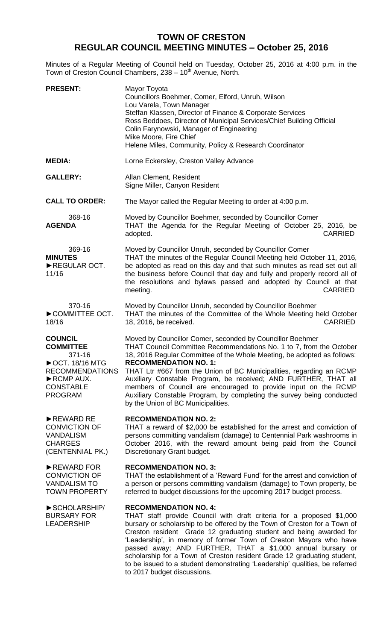## **TOWN OF CRESTON REGULAR COUNCIL MEETING MINUTES – October 25, 2016**

Minutes of a Regular Meeting of Council held on Tuesday, October 25, 2016 at 4:00 p.m. in the Town of Creston Council Chambers, 238 - 10<sup>th</sup> Avenue, North.

| <b>PRESENT:</b>                                                                                                                                            | Mayor Toyota<br>Councillors Boehmer, Comer, Elford, Unruh, Wilson<br>Lou Varela, Town Manager<br>Steffan Klassen, Director of Finance & Corporate Services<br>Ross Beddoes, Director of Municipal Services/Chief Building Official<br>Colin Farynowski, Manager of Engineering<br>Mike Moore, Fire Chief<br>Helene Miles, Community, Policy & Research Coordinator                                                                                                                                                                                                                   |
|------------------------------------------------------------------------------------------------------------------------------------------------------------|--------------------------------------------------------------------------------------------------------------------------------------------------------------------------------------------------------------------------------------------------------------------------------------------------------------------------------------------------------------------------------------------------------------------------------------------------------------------------------------------------------------------------------------------------------------------------------------|
| <b>MEDIA:</b>                                                                                                                                              | Lorne Eckersley, Creston Valley Advance                                                                                                                                                                                                                                                                                                                                                                                                                                                                                                                                              |
| <b>GALLERY:</b>                                                                                                                                            | Allan Clement, Resident<br>Signe Miller, Canyon Resident                                                                                                                                                                                                                                                                                                                                                                                                                                                                                                                             |
| <b>CALL TO ORDER:</b>                                                                                                                                      | The Mayor called the Regular Meeting to order at 4:00 p.m.                                                                                                                                                                                                                                                                                                                                                                                                                                                                                                                           |
| 368-16<br><b>AGENDA</b>                                                                                                                                    | Moved by Councillor Boehmer, seconded by Councillor Comer<br>THAT the Agenda for the Regular Meeting of October 25, 2016, be<br><b>CARRIED</b><br>adopted.                                                                                                                                                                                                                                                                                                                                                                                                                           |
| 369-16<br><b>MINUTES</b><br>REGULAR OCT.<br>11/16                                                                                                          | Moved by Councillor Unruh, seconded by Councillor Comer<br>THAT the minutes of the Regular Council Meeting held October 11, 2016,<br>be adopted as read on this day and that such minutes as read set out all<br>the business before Council that day and fully and properly record all of<br>the resolutions and bylaws passed and adopted by Council at that<br><b>CARRIED</b><br>meeting.                                                                                                                                                                                         |
| 370-16<br>COMMITTEE OCT.<br>18/16                                                                                                                          | Moved by Councillor Unruh, seconded by Councillor Boehmer<br>THAT the minutes of the Committee of the Whole Meeting held October<br><b>CARRIED</b><br>18, 2016, be received.                                                                                                                                                                                                                                                                                                                                                                                                         |
| <b>COUNCIL</b><br><b>COMMITTEE</b><br>371-16<br>$\blacktriangleright$ OCT. 18/16 MTG<br><b>RECOMMENDATIONS</b><br>RCMP AUX.<br><b>CONSTABLE</b><br>PROGRAM | Moved by Councillor Comer, seconded by Councillor Boehmer<br>THAT Council Committee Recommendations No. 1 to 7, from the October<br>18, 2016 Regular Committee of the Whole Meeting, be adopted as follows:<br><b>RECOMMENDATION NO. 1:</b><br>THAT Ltr #667 from the Union of BC Municipalities, regarding an RCMP<br>Auxiliary Constable Program, be received; AND FURTHER, THAT all<br>members of Council are encouraged to provide input on the RCMP<br>Auxiliary Constable Program, by completing the survey being conducted<br>by the Union of BC Municipalities.              |
| REWARD RE<br><b>CONVICTION OF</b><br>VANDALISM<br><b>CHARGES</b><br>(CENTENNIAL PK.)                                                                       | <b>RECOMMENDATION NO. 2:</b><br>THAT a reward of \$2,000 be established for the arrest and conviction of<br>persons committing vandalism (damage) to Centennial Park washrooms in<br>October 2016, with the reward amount being paid from the Council<br>Discretionary Grant budget.                                                                                                                                                                                                                                                                                                 |
| REWARD FOR<br><b>CONVICTION OF</b><br><b>VANDALISM TO</b><br>TOWN PROPERTY                                                                                 | <b>RECOMMENDATION NO. 3:</b><br>THAT the establishment of a 'Reward Fund' for the arrest and conviction of<br>a person or persons committing vandalism (damage) to Town property, be<br>referred to budget discussions for the upcoming 2017 budget process.                                                                                                                                                                                                                                                                                                                         |
| SCHOLARSHIP/<br><b>BURSARY FOR</b><br>LEADERSHIP                                                                                                           | <b>RECOMMENDATION NO. 4:</b><br>THAT staff provide Council with draft criteria for a proposed \$1,000<br>bursary or scholarship to be offered by the Town of Creston for a Town of<br>Creston resident Grade 12 graduating student and being awarded for<br>'Leadership', in memory of former Town of Creston Mayors who have<br>passed away; AND FURTHER, THAT a \$1,000 annual bursary or<br>scholarship for a Town of Creston resident Grade 12 graduating student,<br>to be issued to a student demonstrating 'Leadership' qualities, be referred<br>to 2017 budget discussions. |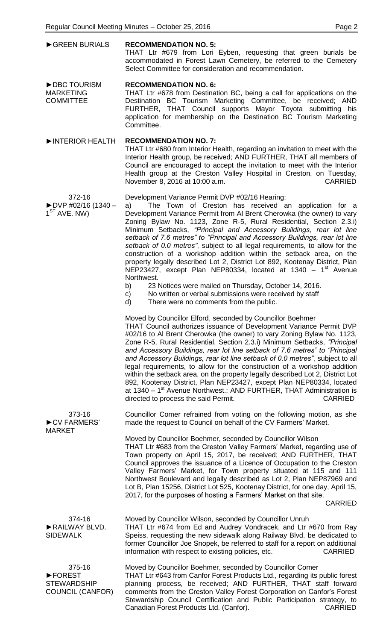| GREEN BURIALS                                                     | <b>RECOMMENDATION NO. 5:</b><br>THAT Ltr #679 from Lori Eyben, requesting that green burials be<br>accommodated in Forest Lawn Cemetery, be referred to the Cemetery<br>Select Committee for consideration and recommendation.                                                                                                                                                                                                                                                                                                                                                                                                                                                                                                                                                                                                                                                                                                         |
|-------------------------------------------------------------------|----------------------------------------------------------------------------------------------------------------------------------------------------------------------------------------------------------------------------------------------------------------------------------------------------------------------------------------------------------------------------------------------------------------------------------------------------------------------------------------------------------------------------------------------------------------------------------------------------------------------------------------------------------------------------------------------------------------------------------------------------------------------------------------------------------------------------------------------------------------------------------------------------------------------------------------|
| DBC TOURISM<br><b>MARKETING</b><br><b>COMMITTEE</b>               | <b>RECOMMENDATION NO. 6:</b><br>THAT Ltr #678 from Destination BC, being a call for applications on the<br>Destination BC Tourism Marketing Committee, be received; AND<br>FURTHER, THAT Council supports Mayor Toyota submitting his<br>application for membership on the Destination BC Tourism Marketing<br>Committee.                                                                                                                                                                                                                                                                                                                                                                                                                                                                                                                                                                                                              |
| INTERIOR HEALTH                                                   | <b>RECOMMENDATION NO. 7:</b><br>THAT Ltr #680 from Interior Health, regarding an invitation to meet with the<br>Interior Health group, be received; AND FURTHER, THAT all members of<br>Council are encouraged to accept the invitation to meet with the Interior<br>Health group at the Creston Valley Hospital in Creston, on Tuesday,<br><b>CARRIED</b><br>November 8, 2016 at 10:00 a.m.                                                                                                                                                                                                                                                                                                                                                                                                                                                                                                                                           |
| 372-16<br>$DVP$ #02/16 (1340 -<br>$1ST$ AVE. NW)                  | Development Variance Permit DVP #02/16 Hearing:<br>The Town of Creston has received an application for a<br>a)<br>Development Variance Permit from AI Brent Cherowka (the owner) to vary<br>Zoning Bylaw No. 1123, Zone R-5, Rural Residential, Section 2.3.i)<br>Minimum Setbacks, "Principal and Accessory Buildings, rear lot line<br>setback of 7.6 metres" to "Principal and Accessory Buildings, rear lot line<br>setback of 0.0 metres", subject to all legal requirements, to allow for the<br>construction of a workshop addition within the setback area, on the<br>property legally described Lot 2, District Lot 892, Kootenay District, Plan<br>NEP23427, except Plan NEP80334, located at $1340 - 1$ <sup>st</sup> Avenue<br>Northwest.<br>23 Notices were mailed on Thursday, October 14, 2016.<br>b)<br>No written or verbal submissions were received by staff<br>c)<br>There were no comments from the public.<br>d) |
|                                                                   | Moved by Councillor Elford, seconded by Councillor Boehmer<br>THAT Council authorizes issuance of Development Variance Permit DVP<br>#02/16 to Al Brent Cherowka (the owner) to vary Zoning Bylaw No. 1123,<br>Zone R-5, Rural Residential, Section 2.3.i) Minimum Setbacks, "Principal<br>and Accessory Buildings, rear lot line setback of 7.6 metres" to "Principal<br>and Accessory Buildings, rear lot line setback of 0.0 metres", subject to all<br>legal requirements, to allow for the construction of a workshop addition<br>within the setback area, on the property legally described Lot 2, District Lot<br>892, Kootenay District, Plan NEP23427, except Plan NEP80334, located<br>at $1340 - 1$ <sup>st</sup> Avenue Northwest.; AND FURTHER, THAT Administration is<br>directed to process the said Permit.<br><b>CARRIED</b>                                                                                          |
| 373-16<br>CV FARMERS'                                             | Councillor Comer refrained from voting on the following motion, as she<br>made the request to Council on behalf of the CV Farmers' Market.                                                                                                                                                                                                                                                                                                                                                                                                                                                                                                                                                                                                                                                                                                                                                                                             |
| <b>MARKET</b>                                                     | Moved by Councillor Boehmer, seconded by Councillor Wilson<br>THAT Ltr #683 from the Creston Valley Farmers' Market, regarding use of<br>Town property on April 15, 2017, be received; AND FURTHER, THAT<br>Council approves the issuance of a Licence of Occupation to the Creston<br>Valley Farmers' Market, for Town property situated at 115 and 111<br>Northwest Boulevard and legally described as Lot 2, Plan NEP87969 and<br>Lot B, Plan 15256, District Lot 525, Kootenay District, for one day, April 15,<br>2017, for the purposes of hosting a Farmers' Market on that site.<br><b>CARRIED</b>                                                                                                                                                                                                                                                                                                                             |
| 374-16<br>▶ RAILWAY BLVD.<br><b>SIDEWALK</b>                      | Moved by Councillor Wilson, seconded by Councillor Unruh<br>THAT Ltr #674 from Ed and Audrey Vondracek, and Ltr #670 from Ray<br>Speiss, requesting the new sidewalk along Railway Blvd. be dedicated to<br>former Councillor Joe Snopek, be referred to staff for a report on additional<br><b>CARRIED</b><br>information with respect to existing policies, etc.                                                                                                                                                                                                                                                                                                                                                                                                                                                                                                                                                                     |
| 375-16<br>FOREST<br><b>STEWARDSHIP</b><br><b>COUNCIL (CANFOR)</b> | Moved by Councillor Boehmer, seconded by Councillor Comer<br>THAT Ltr #643 from Canfor Forest Products Ltd., regarding its public forest<br>planning process, be received; AND FURTHER, THAT staff forward<br>comments from the Creston Valley Forest Corporation on Canfor's Forest<br>Stewardship Council Certification and Public Participation strategy, to<br>Canadian Forest Products Ltd. (Canfor).<br>CARRIED                                                                                                                                                                                                                                                                                                                                                                                                                                                                                                                  |